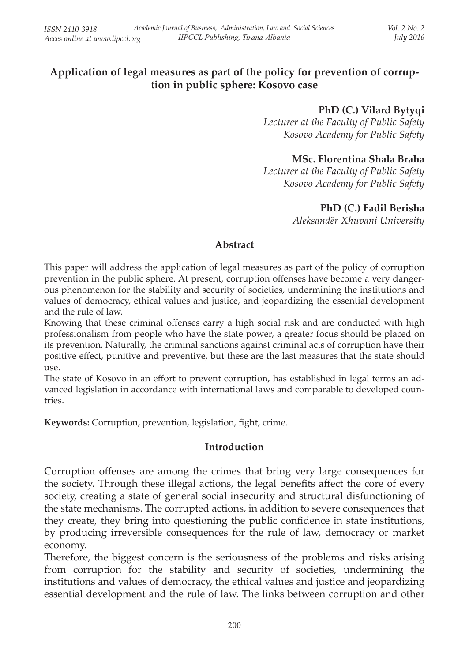# **Application of legal measures as part of the policy for prevention of corruption in public sphere: Kosovo case**

#### **PhD (C.) Vilard Bytyqi**

*Lecturer at the Faculty of Public Safety Kosovo Academy for Public Safety*

## **MSc. Florentina Shala Braha**

*Lecturer at the Faculty of Public Safety Kosovo Academy for Public Safety*

### **PhD (C.) Fadil Berisha**

*Aleksandër Xhuvani University*

### **Abstract**

This paper will address the application of legal measures as part of the policy of corruption prevention in the public sphere. At present, corruption offenses have become a very dangerous phenomenon for the stability and security of societies, undermining the institutions and values of democracy, ethical values and justice, and jeopardizing the essential development and the rule of law.

Knowing that these criminal offenses carry a high social risk and are conducted with high professionalism from people who have the state power, a greater focus should be placed on its prevention. Naturally, the criminal sanctions against criminal acts of corruption have their positive effect, punitive and preventive, but these are the last measures that the state should use.

The state of Kosovo in an effort to prevent corruption, has established in legal terms an advanced legislation in accordance with international laws and comparable to developed countries.

**Keywords:** Corruption, prevention, legislation, fight, crime.

### **Introduction**

Corruption offenses are among the crimes that bring very large consequences for the society. Through these illegal actions, the legal benefits affect the core of every society, creating a state of general social insecurity and structural disfunctioning of the state mechanisms. The corrupted actions, in addition to severe consequences that they create, they bring into questioning the public confidence in state institutions, by producing irreversible consequences for the rule of law, democracy or market economy.

Therefore, the biggest concern is the seriousness of the problems and risks arising from corruption for the stability and security of societies, undermining the institutions and values of democracy, the ethical values and justice and jeopardizing essential development and the rule of law. The links between corruption and other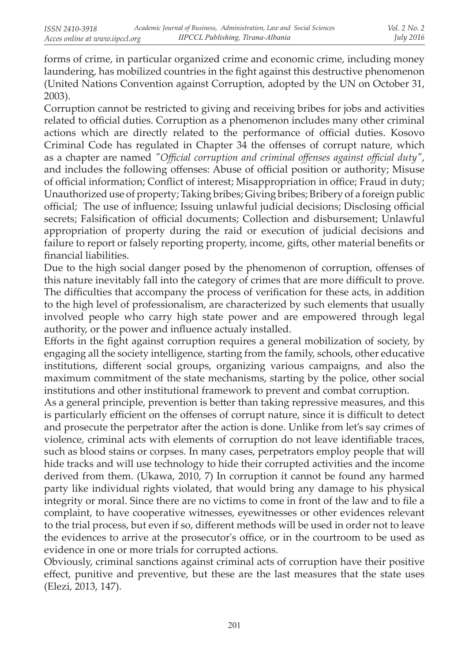forms of crime, in particular organized crime and economic crime, including money laundering, has mobilized countries in the fight against this destructive phenomenon (United Nations Convention against Corruption, adopted by the UN on October 31, 2003).

Corruption cannot be restricted to giving and receiving bribes for jobs and activities related to official duties. Corruption as a phenomenon includes many other criminal actions which are directly related to the performance of official duties. Kosovo Criminal Code has regulated in Chapter 34 the offenses of corrupt nature, which as a chapter are named *"Official corruption and criminal offenses against official duty"*, and includes the following offenses: Abuse of official position or authority; Misuse of official information; Conflict of interest; Misappropriation in office; Fraud in duty; Unauthorized use of property; Taking bribes; Giving bribes; Bribery of a foreign public official; The use of influence; Issuing unlawful judicial decisions; Disclosing official secrets; Falsification of official documents; Collection and disbursement; Unlawful appropriation of property during the raid or execution of judicial decisions and failure to report or falsely reporting property, income, gifts, other material benefits or financial liabilities.

Due to the high social danger posed by the phenomenon of corruption, offenses of this nature inevitably fall into the category of crimes that are more difficult to prove. The difficulties that accompany the process of verification for these acts, in addition to the high level of professionalism, are characterized by such elements that usually involved people who carry high state power and are empowered through legal authority, or the power and influence actualy installed.

Efforts in the fight against corruption requires a general mobilization of society, by engaging all the society intelligence, starting from the family, schools, other educative institutions, different social groups, organizing various campaigns, and also the maximum commitment of the state mechanisms, starting by the police, other social institutions and other institutional framework to prevent and combat corruption.

As a general principle, prevention is better than taking repressive measures, and this is particularly efficient on the offenses of corrupt nature, since it is difficult to detect and prosecute the perpetrator after the action is done. Unlike from let's say crimes of violence, criminal acts with elements of corruption do not leave identifiable traces, such as blood stains or corpses. In many cases, perpetrators employ people that will hide tracks and will use technology to hide their corrupted activities and the income derived from them. (Ukawa, 2010, 7) In corruption it cannot be found any harmed party like individual rights violated, that would bring any damage to his physical integrity or moral. Since there are no victims to come in front of the law and to file a complaint, to have cooperative witnesses, eyewitnesses or other evidences relevant to the trial process, but even if so, different methods will be used in order not to leave the evidences to arrive at the prosecutor's office, or in the courtroom to be used as evidence in one or more trials for corrupted actions.

Obviously, criminal sanctions against criminal acts of corruption have their positive effect, punitive and preventive, but these are the last measures that the state uses (Elezi, 2013, 147).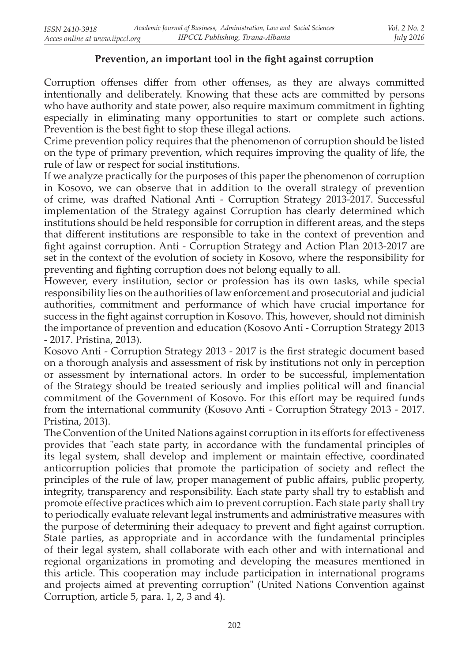### **Prevention, an important tool in the fight against corruption**

Corruption offenses differ from other offenses, as they are always committed intentionally and deliberately. Knowing that these acts are committed by persons who have authority and state power, also require maximum commitment in fighting especially in eliminating many opportunities to start or complete such actions. Prevention is the best fight to stop these illegal actions.

Crime prevention policy requires that the phenomenon of corruption should be listed on the type of primary prevention, which requires improving the quality of life, the rule of law or respect for social institutions.

If we analyze practically for the purposes of this paper the phenomenon of corruption in Kosovo, we can observe that in addition to the overall strategy of prevention of crime, was drafted National Anti - Corruption Strategy 2013-2017. Successful implementation of the Strategy against Corruption has clearly determined which institutions should be held responsible for corruption in different areas, and the steps that different institutions are responsible to take in the context of prevention and fight against corruption. Anti - Corruption Strategy and Action Plan 2013-2017 are set in the context of the evolution of society in Kosovo, where the responsibility for preventing and fighting corruption does not belong equally to all.

However, every institution, sector or profession has its own tasks, while special responsibility lies on the authorities of law enforcement and prosecutorial and judicial authorities, commitment and performance of which have crucial importance for success in the fight against corruption in Kosovo. This, however, should not diminish the importance of prevention and education (Kosovo Anti - Corruption Strategy 2013 - 2017. Pristina, 2013).

Kosovo Anti - Corruption Strategy 2013 - 2017 is the first strategic document based on a thorough analysis and assessment of risk by institutions not only in perception or assessment by international actors. In order to be successful, implementation of the Strategy should be treated seriously and implies political will and financial commitment of the Government of Kosovo. For this effort may be required funds from the international community (Kosovo Anti - Corruption Strategy 2013 - 2017. Pristina, 2013).

The Convention of the United Nations against corruption in its efforts for effectiveness provides that "each state party, in accordance with the fundamental principles of its legal system, shall develop and implement or maintain effective, coordinated anticorruption policies that promote the participation of society and reflect the principles of the rule of law, proper management of public affairs, public property, integrity, transparency and responsibility. Each state party shall try to establish and promote effective practices which aim to prevent corruption. Each state party shall try to periodically evaluate relevant legal instruments and administrative measures with the purpose of determining their adequacy to prevent and fight against corruption. State parties, as appropriate and in accordance with the fundamental principles of their legal system, shall collaborate with each other and with international and regional organizations in promoting and developing the measures mentioned in this article. This cooperation may include participation in international programs and projects aimed at preventing corruption" (United Nations Convention against Corruption, article 5, para. 1, 2, 3 and 4).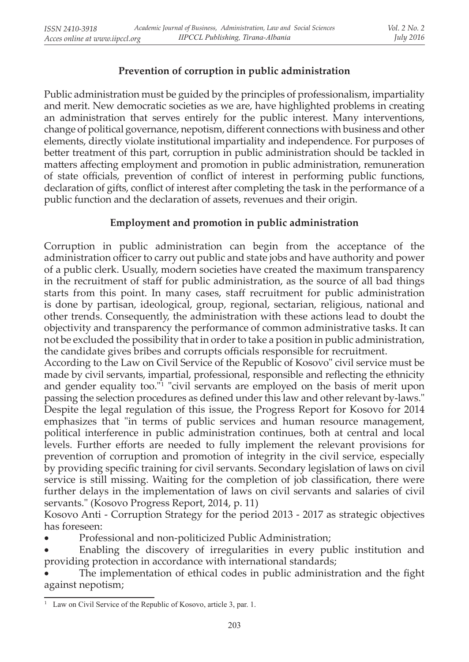# **Prevention of corruption in public administration**

Public administration must be guided by the principles of professionalism, impartiality and merit. New democratic societies as we are, have highlighted problems in creating an administration that serves entirely for the public interest. Many interventions, change of political governance, nepotism, different connections with business and other elements, directly violate institutional impartiality and independence. For purposes of better treatment of this part, corruption in public administration should be tackled in matters affecting employment and promotion in public administration, remuneration of state officials, prevention of conflict of interest in performing public functions, declaration of gifts, conflict of interest after completing the task in the performance of a public function and the declaration of assets, revenues and their origin.

## **Employment and promotion in public administration**

Corruption in public administration can begin from the acceptance of the administration officer to carry out public and state jobs and have authority and power of a public clerk. Usually, modern societies have created the maximum transparency in the recruitment of staff for public administration, as the source of all bad things starts from this point. In many cases, staff recruitment for public administration is done by partisan, ideological, group, regional, sectarian, religious, national and other trends. Consequently, the administration with these actions lead to doubt the objectivity and transparency the performance of common administrative tasks. It can not be excluded the possibility that in order to take a position in public administration, the candidate gives bribes and corrupts officials responsible for recruitment.

According to the Law on Civil Service of the Republic of Kosovo" civil service must be made by civil servants, impartial, professional, responsible and reflecting the ethnicity and gender equality too."<sup>1</sup> "civil servants are employed on the basis of merit upon passing the selection procedures as defined under this law and other relevant by-laws." Despite the legal regulation of this issue, the Progress Report for Kosovo for 2014 emphasizes that "in terms of public services and human resource management, political interference in public administration continues, both at central and local levels. Further efforts are needed to fully implement the relevant provisions for prevention of corruption and promotion of integrity in the civil service, especially by providing specific training for civil servants. Secondary legislation of laws on civil service is still missing. Waiting for the completion of job classification, there were further delays in the implementation of laws on civil servants and salaries of civil servants." (Kosovo Progress Report, 2014, p. 11)

Kosovo Anti - Corruption Strategy for the period 2013 - 2017 as strategic objectives has foreseen:

Professional and non-politicized Public Administration;

Enabling the discovery of irregularities in every public institution and providing protection in accordance with international standards;

The implementation of ethical codes in public administration and the fight against nepotism;

<sup>&</sup>lt;sup>1</sup> Law on Civil Service of the Republic of Kosovo, article 3, par. 1.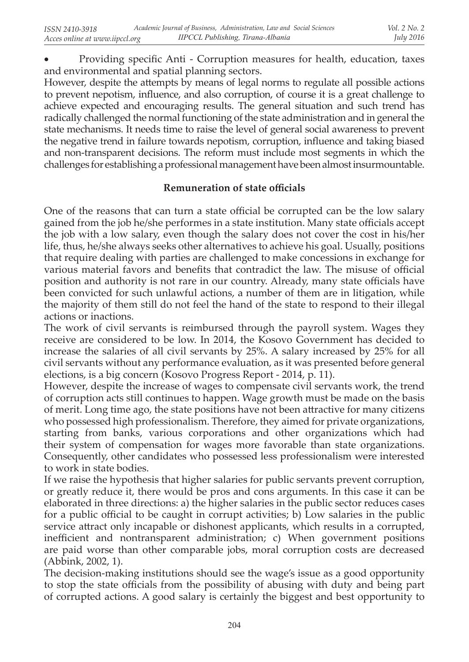Providing specific Anti - Corruption measures for health, education, taxes and environmental and spatial planning sectors.

However, despite the attempts by means of legal norms to regulate all possible actions to prevent nepotism, influence, and also corruption, of course it is a great challenge to achieve expected and encouraging results. The general situation and such trend has radically challenged the normal functioning of the state administration and in general the state mechanisms. It needs time to raise the level of general social awareness to prevent the negative trend in failure towards nepotism, corruption, influence and taking biased and non-transparent decisions. The reform must include most segments in which the challenges for establishing a professional management have been almost insurmountable.

### **Remuneration of state officials**

One of the reasons that can turn a state official be corrupted can be the low salary gained from the job he/she performes in a state institution. Many state officials accept the job with a low salary, even though the salary does not cover the cost in his/her life, thus, he/she always seeks other alternatives to achieve his goal. Usually, positions that require dealing with parties are challenged to make concessions in exchange for various material favors and benefits that contradict the law. The misuse of official position and authority is not rare in our country. Already, many state officials have been convicted for such unlawful actions, a number of them are in litigation, while the majority of them still do not feel the hand of the state to respond to their illegal actions or inactions.

The work of civil servants is reimbursed through the payroll system. Wages they receive are considered to be low. In 2014, the Kosovo Government has decided to increase the salaries of all civil servants by 25%. A salary increased by 25% for all civil servants without any performance evaluation, as it was presented before general elections, is a big concern (Kosovo Progress Report - 2014, p. 11).

However, despite the increase of wages to compensate civil servants work, the trend of corruption acts still continues to happen. Wage growth must be made on the basis of merit. Long time ago, the state positions have not been attractive for many citizens who possessed high professionalism. Therefore, they aimed for private organizations, starting from banks, various corporations and other organizations which had their system of compensation for wages more favorable than state organizations. Consequently, other candidates who possessed less professionalism were interested to work in state bodies.

If we raise the hypothesis that higher salaries for public servants prevent corruption, or greatly reduce it, there would be pros and cons arguments. In this case it can be elaborated in three directions: a) the higher salaries in the public sector reduces cases for a public official to be caught in corrupt activities; b) Low salaries in the public service attract only incapable or dishonest applicants, which results in a corrupted, inefficient and nontransparent administration; c) When government positions are paid worse than other comparable jobs, moral corruption costs are decreased (Abbink, 2002, 1).

The decision-making institutions should see the wage's issue as a good opportunity to stop the state officials from the possibility of abusing with duty and being part of corrupted actions. A good salary is certainly the biggest and best opportunity to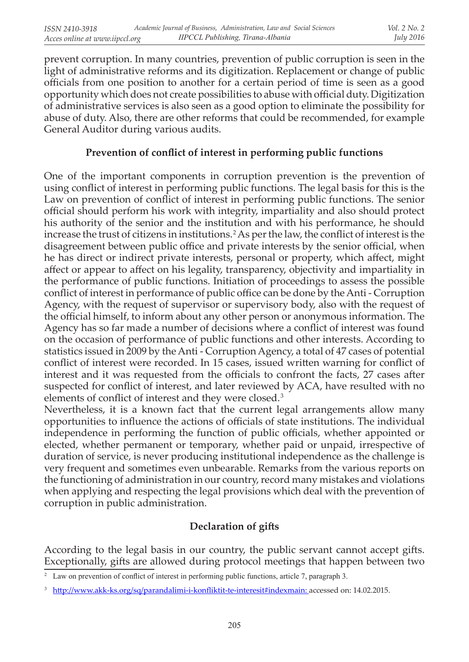prevent corruption. In many countries, prevention of public corruption is seen in the light of administrative reforms and its digitization. Replacement or change of public officials from one position to another for a certain period of time is seen as a good opportunity which does not create possibilities to abuse with official duty. Digitization of administrative services is also seen as a good option to eliminate the possibility for abuse of duty. Also, there are other reforms that could be recommended, for example General Auditor during various audits.

### **Prevention of conflict of interest in performing public functions**

One of the important components in corruption prevention is the prevention of using conflict of interest in performing public functions. The legal basis for this is the Law on prevention of conflict of interest in performing public functions. The senior official should perform his work with integrity, impartiality and also should protect his authority of the senior and the institution and with his performance, he should increase the trust of citizens in institutions. 2 As per the law, the conflict of interest is the disagreement between public office and private interests by the senior official, when he has direct or indirect private interests, personal or property, which affect, might affect or appear to affect on his legality, transparency, objectivity and impartiality in the performance of public functions. Initiation of proceedings to assess the possible conflict of interest in performance of public office can be done by the Anti - Corruption Agency, with the request of supervisor or supervisory body, also with the request of the official himself, to inform about any other person or anonymous information. The Agency has so far made a number of decisions where a conflict of interest was found on the occasion of performance of public functions and other interests. According to statistics issued in 2009 by the Anti - Corruption Agency, a total of 47 cases of potential conflict of interest were recorded. In 15 cases, issued written warning for conflict of interest and it was requested from the officials to confront the facts, 27 cases after suspected for conflict of interest, and later reviewed by ACA, have resulted with no elements of conflict of interest and they were closed. 3

Nevertheless, it is a known fact that the current legal arrangements allow many opportunities to influence the actions of officials of state institutions. The individual independence in performing the function of public officials, whether appointed or elected, whether permanent or temporary, whether paid or unpaid, irrespective of duration of service, is never producing institutional independence as the challenge is very frequent and sometimes even unbearable. Remarks from the various reports on the functioning of administration in our country, record many mistakes and violations when applying and respecting the legal provisions which deal with the prevention of corruption in public administration.

## **Declaration of gifts**

According to the legal basis in our country, the public servant cannot accept gifts. Exceptionally, gifts are allowed during protocol meetings that happen between two

<sup>&</sup>lt;sup>2</sup> Law on prevention of conflict of interest in performing public functions, article 7, paragraph 3.

<sup>&</sup>lt;sup>3</sup> http://www.akk-ks.org/sq/parandalimi-i-konfliktit-te-interesit#indexmain: accessed on: 14.02.2015.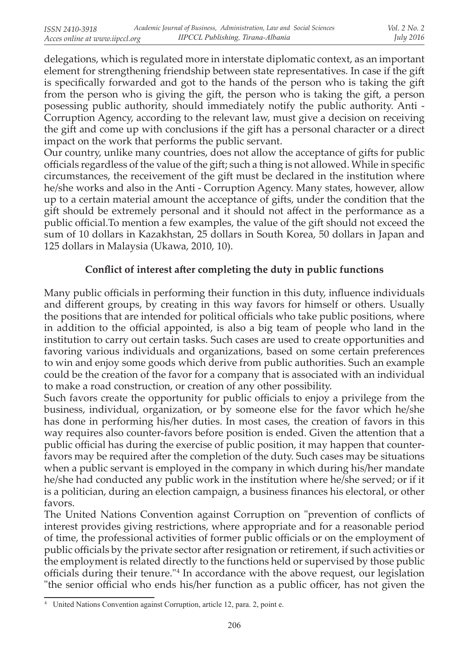delegations, which is regulated more in interstate diplomatic context, as an important element for strengthening friendship between state representatives. In case if the gift is specifically forwarded and got to the hands of the person who is taking the gift from the person who is giving the gift, the person who is taking the gift, a person posessing public authority, should immediately notify the public authority. Anti - Corruption Agency, according to the relevant law, must give a decision on receiving the gift and come up with conclusions if the gift has a personal character or a direct impact on the work that performs the public servant.

Our country, unlike many countries, does not allow the acceptance of gifts for public officials regardless of the value of the gift; such a thing is not allowed. While in specific circumstances, the receivement of the gift must be declared in the institution where he/she works and also in the Anti - Corruption Agency. Many states, however, allow up to a certain material amount the acceptance of gifts, under the condition that the gift should be extremely personal and it should not affect in the performance as a public official.To mention a few examples, the value of the gift should not exceed the sum of 10 dollars in Kazakhstan, 25 dollars in South Korea, 50 dollars in Japan and 125 dollars in Malaysia (Ukawa, 2010, 10).

### **Conflict of interest after completing the duty in public functions**

Many public officials in performing their function in this duty, influence individuals and different groups, by creating in this way favors for himself or others. Usually the positions that are intended for political officials who take public positions, where in addition to the official appointed, is also a big team of people who land in the institution to carry out certain tasks. Such cases are used to create opportunities and favoring various individuals and organizations, based on some certain preferences to win and enjoy some goods which derive from public authorities. Such an example could be the creation of the favor for a company that is associated with an individual to make a road construction, or creation of any other possibility.

Such favors create the opportunity for public officials to enjoy a privilege from the business, individual, organization, or by someone else for the favor which he/she has done in performing his/her duties. In most cases, the creation of favors in this way requires also counter-favors before position is ended. Given the attention that a public official has during the exercise of public position, it may happen that counterfavors may be required after the completion of the duty. Such cases may be situations when a public servant is employed in the company in which during his/her mandate he/she had conducted any public work in the institution where he/she served; or if it is a politician, during an election campaign, a business finances his electoral, or other favors.

The United Nations Convention against Corruption on "prevention of conflicts of interest provides giving restrictions, where appropriate and for a reasonable period of time, the professional activities of former public officials or on the employment of public officials by the private sector after resignation or retirement, if such activities or the employment is related directly to the functions held or supervised by those public officials during their tenure." 4 In accordance with the above request, our legislation "the senior official who ends his/her function as a public officer, has not given the

<sup>4</sup> United Nations Convention against Corruption, article 12, para. 2, point e.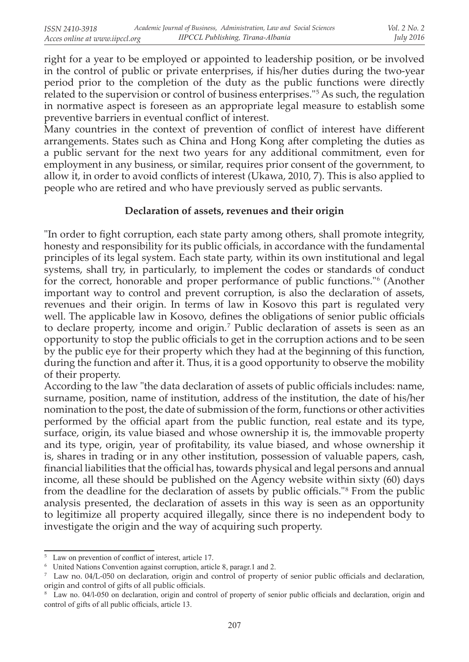right for a year to be employed or appointed to leadership position, or be involved in the control of public or private enterprises, if his/her duties during the two-year period prior to the completion of the duty as the public functions were directly related to the supervision or control of business enterprises." 5 As such, the regulation in normative aspect is foreseen as an appropriate legal measure to establish some preventive barriers in eventual conflict of interest.

Many countries in the context of prevention of conflict of interest have different arrangements. States such as China and Hong Kong after completing the duties as a public servant for the next two years for any additional commitment, even for employment in any business, or similar, requires prior consent of the government, to allow it, in order to avoid conflicts of interest (Ukawa, 2010, 7). This is also applied to people who are retired and who have previously served as public servants.

#### **Declaration of assets, revenues and their origin**

"In order to fight corruption, each state party among others, shall promote integrity, honesty and responsibility for its public officials, in accordance with the fundamental principles of its legal system. Each state party, within its own institutional and legal systems, shall try, in particularly, to implement the codes or standards of conduct for the correct, honorable and proper performance of public functions." 6 (Another important way to control and prevent corruption, is also the declaration of assets, revenues and their origin. In terms of law in Kosovo this part is regulated very well. The applicable law in Kosovo, defines the obligations of senior public officials to declare property, income and origin.<sup>7</sup> Public declaration of assets is seen as an opportunity to stop the public officials to get in the corruption actions and to be seen by the public eye for their property which they had at the beginning of this function, during the function and after it. Thus, it is a good opportunity to observe the mobility of their property.

According to the law "the data declaration of assets of public officials includes: name, surname, position, name of institution, address of the institution, the date of his/her nomination to the post, the date of submission of the form, functions or other activities performed by the official apart from the public function, real estate and its type, surface, origin, its value biased and whose ownership it is, the immovable property and its type, origin, year of profitability, its value biased, and whose ownership it is, shares in trading or in any other institution, possession of valuable papers, cash, financial liabilities that the official has, towards physical and legal persons and annual income, all these should be published on the Agency website within sixty (60) days from the deadline for the declaration of assets by public officials." 8 From the public analysis presented, the declaration of assets in this way is seen as an opportunity to legitimize all property acquired illegally, since there is no independent body to investigate the origin and the way of acquiring such property.

<sup>5</sup> Law on prevention of conflict of interest, article 17.

<sup>6</sup> United Nations Convention against corruption, article 8, paragr.1 and 2.

<sup>7</sup> Law no. 04/L-050 on declaration, origin and control of property of senior public officials and declaration, origin and control of gifts of all public officials.

<sup>8</sup> Law no. 04/l-050 on declaration, origin and control of property of senior public officials and declaration, origin and control of gifts of all public officials, article 13.